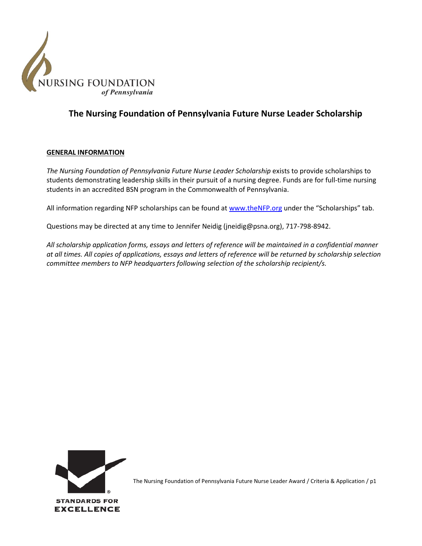

# **The Nursing Foundation of Pennsylvania Future Nurse Leader Scholarship**

#### **GENERAL INFORMATION**

*The Nursing Foundation of Pennsylvania Future Nurse Leader Scholarship* exists to provide scholarships to students demonstrating leadership skills in their pursuit of a nursing degree. Funds are for full-time nursing students in an accredited BSN program in the Commonwealth of Pennsylvania.

All information regarding NFP scholarships can be found at [www.theNFP.org](http://www.thenfp.org/) under the "Scholarships" tab.

Questions may be directed at any time to Jennifer Neidig (jneidig@psna.org), 717-798-8942.

*All scholarship application forms, essays and letters of reference will be maintained in a confidential manner at all times. All copies of applications, essays and letters of reference will be returned by scholarship selection committee members to NFP headquarters following selection of the scholarship recipient/s.*



The Nursing Foundation of Pennsylvania Future Nurse Leader Award / Criteria & Application / p1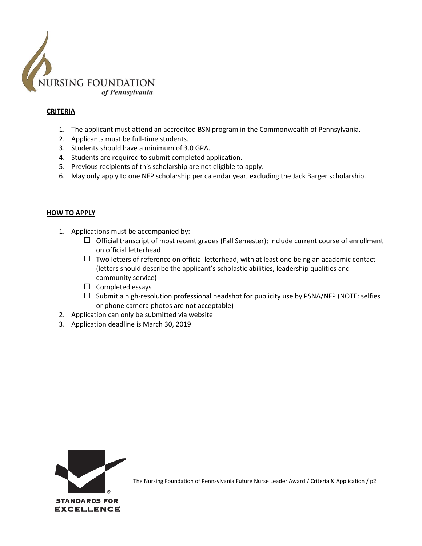

## **CRITERIA**

- 1. The applicant must attend an accredited BSN program in the Commonwealth of Pennsylvania.
- 2. Applicants must be full-time students.
- 3. Students should have a minimum of 3.0 GPA.
- 4. Students are required to submit completed application.
- 5. Previous recipients of this scholarship are not eligible to apply.
- 6. May only apply to one NFP scholarship per calendar year, excluding the Jack Barger scholarship.

#### **HOW TO APPLY**

- 1. Applications must be accompanied by:
	- $\Box$  Official transcript of most recent grades (Fall Semester); Include current course of enrollment on official letterhead
	- $\Box$  Two letters of reference on official letterhead, with at least one being an academic contact (letters should describe the applicant's scholastic abilities, leadership qualities and community service)
	- $\Box$  Completed essays
	- $\Box$  Submit a high-resolution professional headshot for publicity use by PSNA/NFP (NOTE: selfies or phone camera photos are not acceptable)
- 2. Application can only be submitted via website
- 3. Application deadline is March 30, 2019



The Nursing Foundation of Pennsylvania Future Nurse Leader Award / Criteria & Application / p2